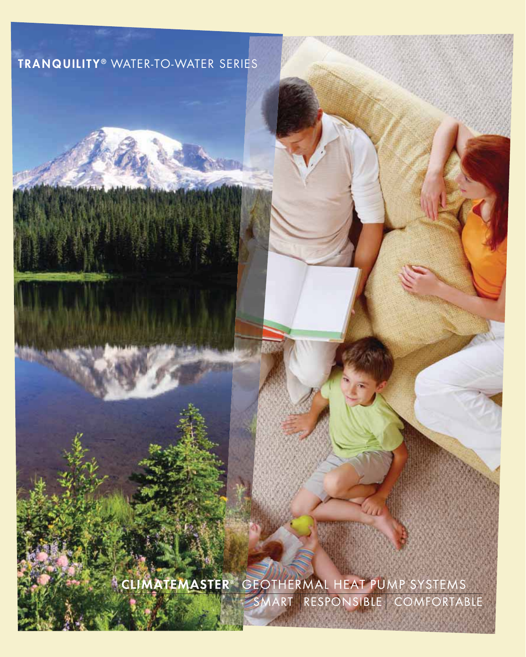## TRANQUILITY® WATER-TO-WATER SERIES

CLIMATEMASTER® GEOTHERMAL HEAT PUMP SYSTEMS SMART RESPONSIBLE COMFORTABLE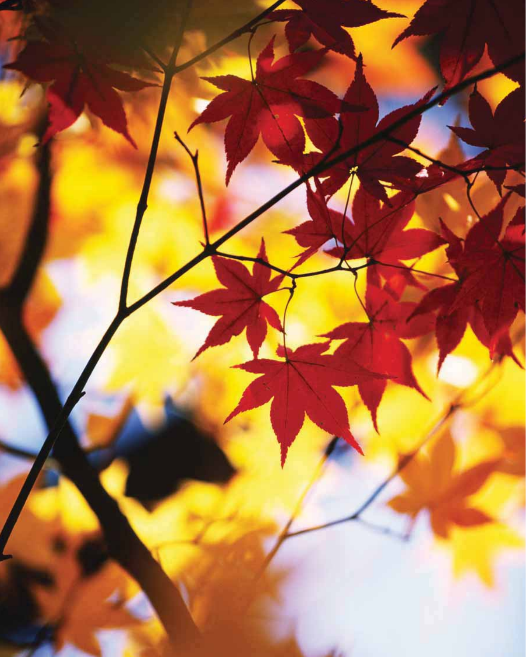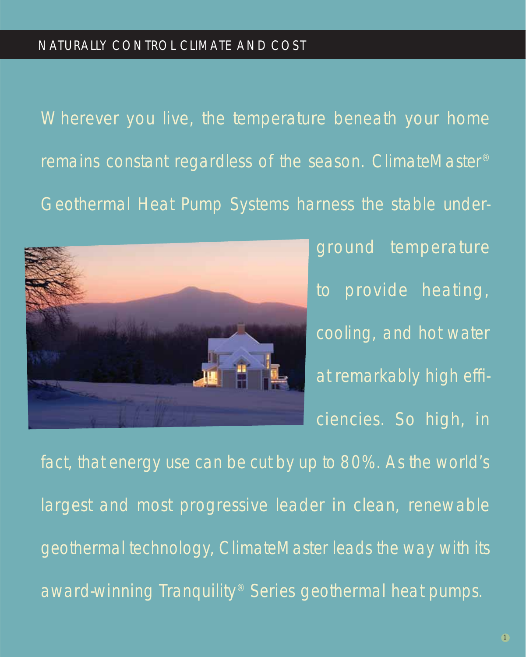Wherever you live, the temperature beneath your home remains constant regardless of the season. ClimateMaster® Geothermal Heat Pump Systems harness the stable under-



ground temperature to provide heating, cooling, and hot water at remarkably high efficiencies. So high, in

fact, that energy use can be cut by up to 80%. As the world's largest and most progressive leader in clean, renewable geothermal technology, ClimateMaster leads the way with its award-winning Tranquility® Series geothermal heat pumps.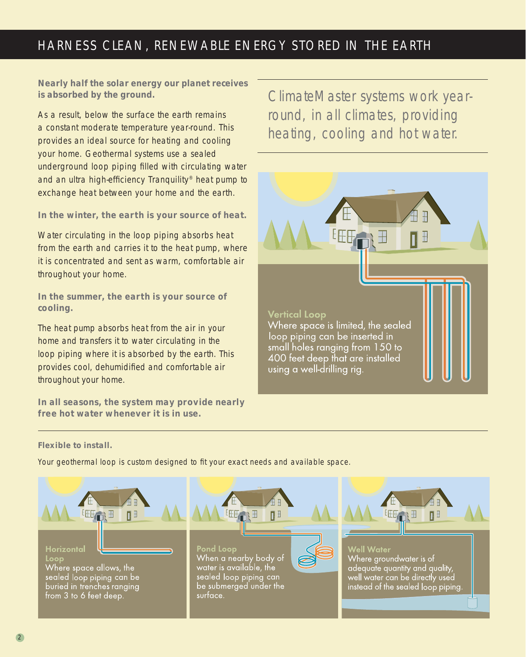## HARNESS CLEAN, RENEWABLE ENERGY STORED IN THE EARTH

### **Nearly half the solar energy our planet receives is absorbed by the ground.**

As a result, below the surface the earth remains a constant moderate temperature year-round. This provides an ideal source for heating and cooling your home. Geothermal systems use a sealed underground loop piping filled with circulating water and an ultra high-efficiency Tranquility® heat pump to exchange heat between your home and the earth.

**In the winter, the earth is your source of heat.**

Water circulating in the loop piping absorbs heat from the earth and carries it to the heat pump, where it is concentrated and sent as warm, comfortable air throughout your home.

**In the summer, the earth is your source of cooling.**

The heat pump absorbs heat from the air in your home and transfers it to water circulating in the loop piping where it is absorbed by the earth. This provides cool, dehumidified and comfortable air throughout your home.

**In all seasons, the system may provide nearly free hot water whenever it is in use.**

*ClimateMaster systems work yearround, in all climates, providing heating, cooling and hot water.*

# Ŧ **Vertical Loop** Where space is limited, the sealed loop piping can be inserted in small holes ranging from 150 to 400 feet deep that are installed using a well-drilling rig.

### **Flexible to install.**

Your geothermal loop is custom designed to fit your exact needs and available space.

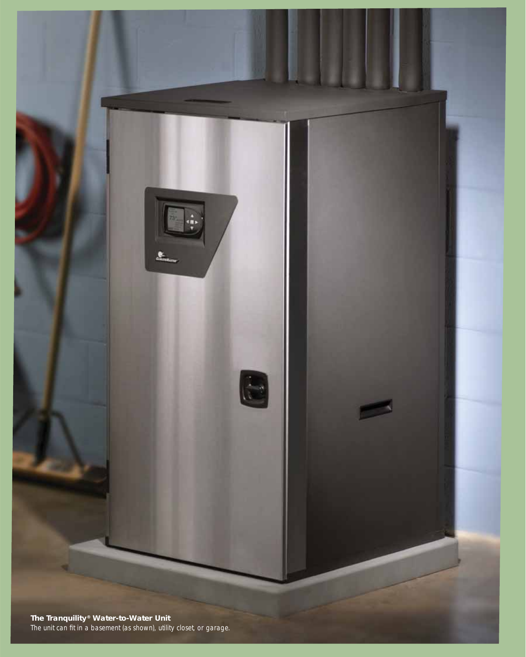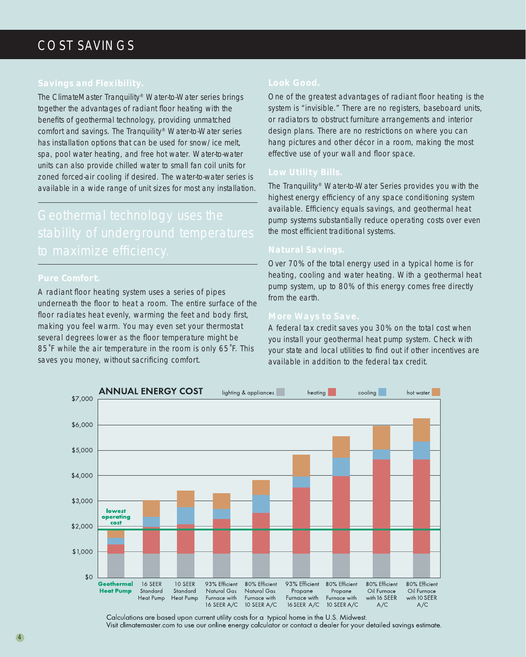## COST SAVINGS

The ClimateMaster Tranquility® Water-to-Water series brings together the advantages of radiant floor heating with the benefits of geothermal technology, providing unmatched comfort and savings. The Tranquility® Water-to-Water series has installation options that can be used for snow/ice melt, spa, pool water heating, and free hot water. Water-to-water units can also provide chilled water to small fan coil units for zoned forced-air cooling if desired. The water-to-water series is available in a wide range of unit sizes for most any installation.

### **Pure Comfort.**

A radiant floor heating system uses a series of pipes underneath the floor to heat a room. The entire surface of the floor radiates heat evenly, warming the feet and body first, making you feel warm. You may even set your thermostat several degrees lower as the floor temperature might be 85˚F while the air temperature in the room is only 65˚F. This saves you money, without sacrificing comfort.

One of the greatest advantages of radiant floor heating is the system is "invisible." There are no registers, baseboard units, or radiators to obstruct furniture arrangements and interior design plans. There are no restrictions on where you can hang pictures and other décor in a room, making the most effective use of your wall and floor space.

### **Low Utility Bills.**

The Tranquility® Water-to-Water Series provides you with the highest energy efficiency of any space conditioning system available. Efficiency equals savings, and geothermal heat pump systems substantially reduce operating costs over even the most efficient traditional systems.

Over 70% of the total energy used in a typical home is for heating, cooling and water heating. With a geothermal heat pump system, up to 80% of this energy comes free directly from the earth.

A federal tax credit saves you 30% on the total cost when you install your geothermal heat pump system. Check with your state and local utilities to find out if other incentives are available in addition to the federal tax credit.



Calculations are based upon current utility costs for a typical home in the U.S. Midwest. Visit climatemaster.com to use our online energy calculator or contact a dealer for your detailed savings estimate.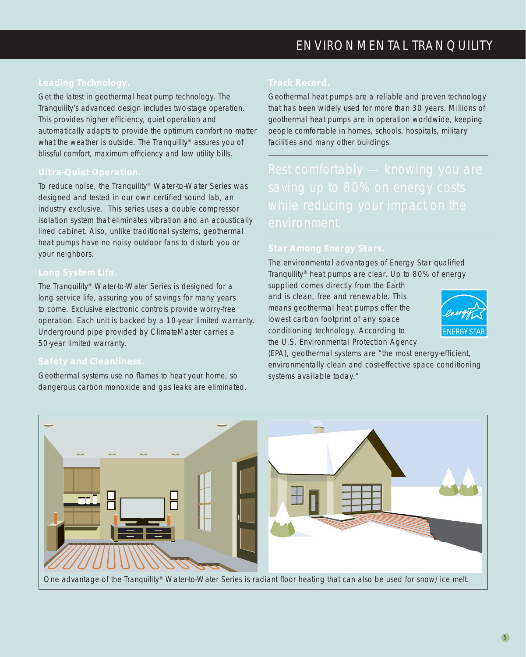## **Leading Technology.**

Get the latest in geothermal heat pump technology. The Tranquility's advanced design includes two-stage operation. This provides higher efficiency, quiet operation and automatically adapts to provide the optimum comfort no matter what the weather is outside. The Tranquility<sup>®</sup> assures you of blissful comfort, maximum efficiency and low utility bills.

## **Ultra-Quiet Operation.**

To reduce noise, the Tranquility® Water-to-Water Series was designed and tested in our own certified sound lab, an industry exclusive. This series uses a double compressor isolation system that eliminates vibration and an acoustically lined cabinet. Also, unlike traditional systems, geothermal heat pumps have no noisy outdoor fans to disturb you or your neighbors.

The Tranquility® Water-to-Water Series is designed for a long service life, assuring you of savings for many years to come. Exclusive electronic controls provide worry-free operation. Each unit is backed by a 10-year limited warranty. Underground pipe provided by ClimateMaster carries a 50-year limited warranty.

Geothermal systems use no flames to heat your home, so dangerous carbon monoxide and gas leaks are eliminated.

Geothermal heat pumps are a reliable and proven technology that has been widely used for more than 30 years. Millions of geothermal heat pumps are in operation worldwide, keeping people comfortable in homes, schools, hospitals, military facilities and many other buildings.

The environmental advantages of Energy Star qualified Tranquility® heat pumps are clear. Up to 80% of energy

supplied comes directly from the Earth and is clean, free and renewable. This means geothermal heat pumps offer the lowest carbon footprint of any space conditioning technology. According to the U.S. Environmental Protection Agency



(EPA), geothermal systems are "the most energy-efficient, environmentally clean and cost-effective space conditioning systems available today."

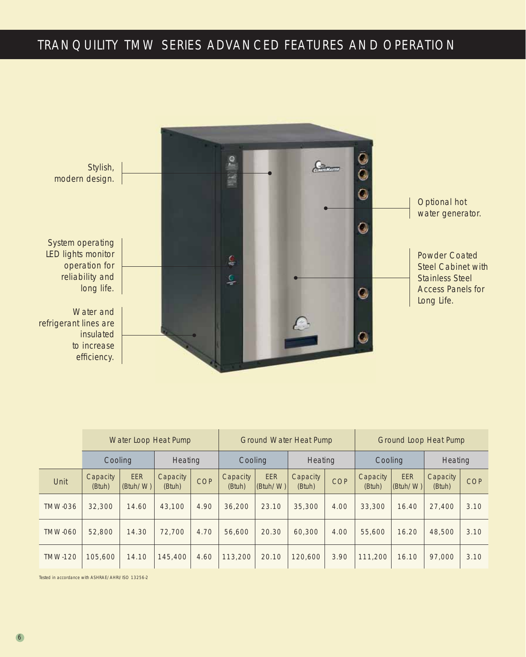## TRANQUILITY TMW SERIES ADVANCED FEATURES AND OPERATION



|                | Water Loop Heat Pump |                        |                    |            | <b>Ground Water Heat Pump</b> |                        |                    |            | <b>Ground Loop Heat Pump</b> |                        |                    |      |
|----------------|----------------------|------------------------|--------------------|------------|-------------------------------|------------------------|--------------------|------------|------------------------------|------------------------|--------------------|------|
|                | Cooling              |                        | <b>Heating</b>     |            | Cooling                       |                        | <b>Heating</b>     |            | Cooling                      |                        | <b>Heating</b>     |      |
| Unit           | Capacity<br>(Btuh)   | <b>EER</b><br>(Btuh/W) | Capacity<br>(Btuh) | <b>COP</b> | Capacity<br>(Btuh)            | <b>EER</b><br>(Btuh/W) | Capacity<br>(Btuh) | <b>COP</b> | Capacity<br>(Btuh)           | <b>EER</b><br>(Btuh/W) | Capacity<br>(Btuh) | COP  |
| <b>TMW-036</b> | 32,300               | 14.60                  | 43,100             | 4.90       | 36,200                        | 23.10                  | 35,300             | 4.00       | 33,300                       | 16.40                  | 27,400             | 3.10 |
| <b>TMW-060</b> | 52,800               | 14.30                  | 72,700             | 4.70       | 56,600                        | 20.30                  | 60,300             | 4.00       | 55,600                       | 16.20                  | 48,500             | 3.10 |
| <b>TMW-120</b> | 105,600              | 14.10                  | 145,400            | 4.60       | 113,200                       | 20.10                  | 120,600            | 3.90       | 111,200                      | 16.10                  | 97,000             | 3.10 |

Tested in accordance with ASHRAE/AHRI/ISO 13256-2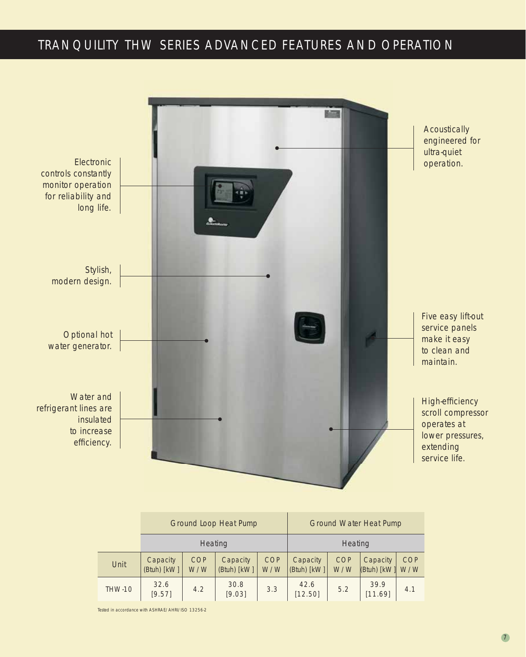## TRANQUILITY THW SERIES ADVANCED FEATURES AND OPERATION



|               |                         |                   | <b>Ground Loop Heat Pump</b> | <b>Ground Water Heat Pump</b> |                         |                   |                          |                   |  |
|---------------|-------------------------|-------------------|------------------------------|-------------------------------|-------------------------|-------------------|--------------------------|-------------------|--|
|               |                         | <b>Heating</b>    |                              |                               | <b>Heating</b>          |                   |                          |                   |  |
| Unit          | Capacity<br>(Btuh) [kW] | <b>COP</b><br>W/W | Capacity<br>(Btuh) [kW]      | <b>COP</b><br>W/W             | Capacity<br>(Btuh) [kW] | <b>COP</b><br>W/W | Capacity<br>$[RU(BUUU)]$ | <b>COP</b><br>W/W |  |
| <b>THW-10</b> | 32.6<br>[9.57]          | 4.2               | 30.8<br>[9.03]               | 3.3                           | 42.6<br>[12.50]         | 5.2               | 39.9<br>[11.69]          | 4.1               |  |

Tested in accordance with ASHRAE/AHRI/ISO 13256-2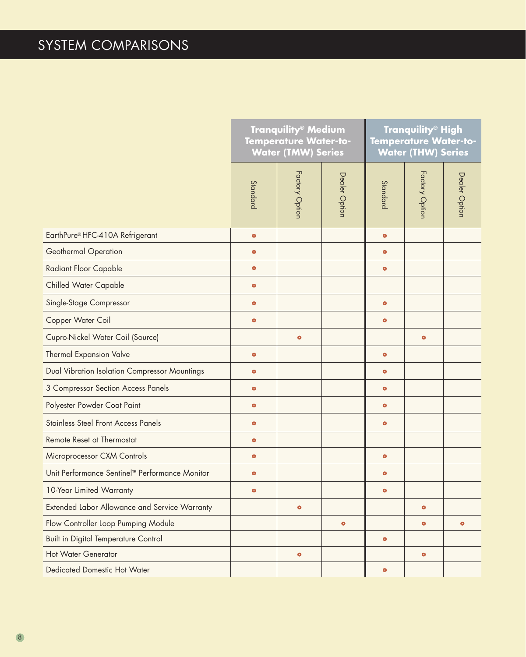|                                                | <b>Tranquility® Medium</b><br><b>Temperature Water-to-</b><br><b>Water (TMW) Series</b> |                |               | <b>Tranquility® High</b><br><b>Temperature Water-to-</b><br><b>Water (THW) Series</b> |                |               |  |
|------------------------------------------------|-----------------------------------------------------------------------------------------|----------------|---------------|---------------------------------------------------------------------------------------|----------------|---------------|--|
|                                                | Standard                                                                                | Factory Option | Dealer Option | Standard                                                                              | Factory Option | Dealer Option |  |
| EarthPure® HFC-410A Refrigerant                | $\bullet$                                                                               |                |               | $\bullet$                                                                             |                |               |  |
| Geothermal Operation                           | $\bullet$                                                                               |                |               | $\bullet$                                                                             |                |               |  |
| Radiant Floor Capable                          | $\bullet$                                                                               |                |               | $\bullet$                                                                             |                |               |  |
| <b>Chilled Water Capable</b>                   | $\bullet$                                                                               |                |               |                                                                                       |                |               |  |
| Single-Stage Compressor                        | $\bullet$                                                                               |                |               | $\bullet$                                                                             |                |               |  |
| Copper Water Coil                              | $\bullet$                                                                               |                |               | $\bullet$                                                                             |                |               |  |
| Cupro-Nickel Water Coil (Source)               |                                                                                         | $\bullet$      |               |                                                                                       | $\bullet$      |               |  |
| <b>Thermal Expansion Valve</b>                 | $\bullet$                                                                               |                |               | $\bullet$                                                                             |                |               |  |
| Dual Vibration Isolation Compressor Mountings  | $\bullet$                                                                               |                |               | $\bullet$                                                                             |                |               |  |
| 3 Compressor Section Access Panels             | $\bullet$                                                                               |                |               | $\bullet$                                                                             |                |               |  |
| Polyester Powder Coat Paint                    | $\bullet$                                                                               |                |               | $\bullet$                                                                             |                |               |  |
| <b>Stainless Steel Front Access Panels</b>     | $\bullet$                                                                               |                |               | $\bullet$                                                                             |                |               |  |
| Remote Reset at Thermostat                     | $\bullet$                                                                               |                |               |                                                                                       |                |               |  |
| Microprocessor CXM Controls                    | $\bullet$                                                                               |                |               | $\bullet$                                                                             |                |               |  |
| Unit Performance Sentinel™ Performance Monitor | $\bullet$                                                                               |                |               | $\bullet$                                                                             |                |               |  |
| 10-Year Limited Warranty                       | $\bullet$                                                                               |                |               | $\bullet$                                                                             |                |               |  |
| Extended Labor Allowance and Service Warranty  |                                                                                         | $\bullet$      |               |                                                                                       | $\bullet$      |               |  |
| Flow Controller Loop Pumping Module            |                                                                                         |                | $\bullet$     |                                                                                       | $\bullet$      | $\bullet$     |  |
| <b>Built in Digital Temperature Control</b>    |                                                                                         |                |               | $\bullet$                                                                             |                |               |  |
| <b>Hot Water Generator</b>                     |                                                                                         | $\bullet$      |               |                                                                                       | $\bullet$      |               |  |
| <b>Dedicated Domestic Hot Water</b>            |                                                                                         |                |               | $\bullet$                                                                             |                |               |  |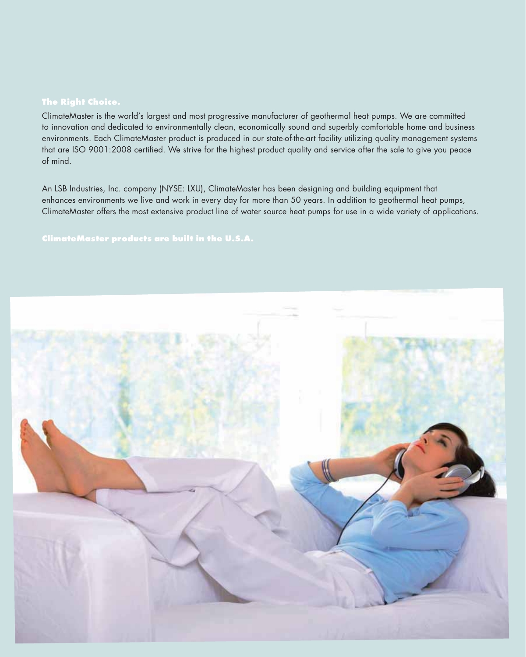ClimateMaster is the world's largest and most progressive manufacturer of geothermal heat pumps. We are committed to innovation and dedicated to environmentally clean, economically sound and superbly comfortable home and business environments. Each ClimateMaster product is produced in our state-of-the-art facility utilizing quality management systems that are ISO 9001:2008 certified. We strive for the highest product quality and service after the sale to give you peace of mind.

An LSB Industries, Inc. company (NYSE: LXU), ClimateMaster has been designing and building equipment that enhances environments we live and work in every day for more than 50 years. In addition to geothermal heat pumps, ClimateMaster offers the most extensive product line of water source heat pumps for use in a wide variety of applications.